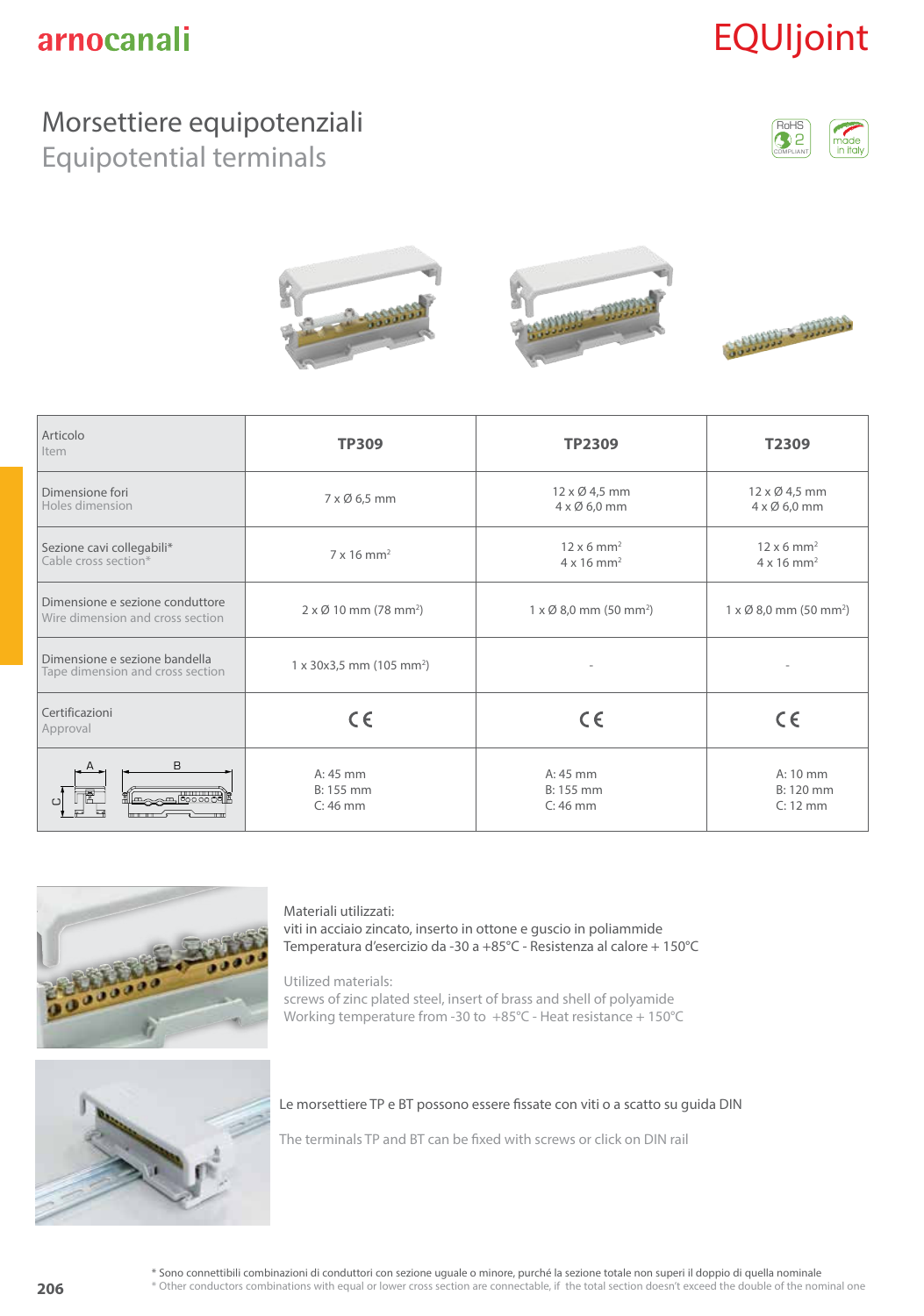# EQUIjoint

### Morsettiere equipotenziali

Equipotential terminals





| Articolo<br>Item                                                    | <b>TP309</b>                                                                                    | <b>TP2309</b>                                     | T2309                                                          |
|---------------------------------------------------------------------|-------------------------------------------------------------------------------------------------|---------------------------------------------------|----------------------------------------------------------------|
| Dimensione fori<br>Holes dimension                                  | 7 x Ø 6,5 mm                                                                                    | 12 x Ø 4,5 mm<br>4 x Ø 6,0 mm                     | 12 x Ø 4,5 mm<br>$4 \times \emptyset$ 6,0 mm                   |
| Sezione cavi collegabili*<br>Cable cross section*                   | $12 \times 6$ mm <sup>2</sup><br>$7 \times 16$ mm <sup>2</sup><br>$4 \times 16$ mm <sup>2</sup> |                                                   | $12 \times 6$ mm <sup>2</sup><br>$4 \times 16$ mm <sup>2</sup> |
| Dimensione e sezione conduttore<br>Wire dimension and cross section | $2 \times \emptyset$ 10 mm (78 mm <sup>2</sup> )                                                | $1 \times \emptyset$ 8,0 mm (50 mm <sup>2</sup> ) | $1 \times \emptyset$ 8,0 mm (50 mm <sup>2</sup> )              |
| Dimensione e sezione bandella<br>Tape dimension and cross section   | $1 \times 30 \times 3.5$ mm (105 mm <sup>2</sup> )                                              |                                                   |                                                                |
| Certificazioni<br>Approval                                          | $C \in$                                                                                         | $C \in$                                           | $C \in$                                                        |
| B                                                                   | $A:45$ mm<br>B: 155 mm<br>$C: 46$ mm                                                            | $A: 45$ mm<br>B: 155 mm<br>$C: 46$ mm             | A: 10 mm<br>B: 120 mm<br>$C: 12$ mm                            |



#### Materiali utilizzati: viti in acciaio zincato, inserto in ottone e guscio in poliammide Temperatura d'esercizio da -30 a +85°C - Resistenza al calore + 150°C

Utilized materials: screws of zinc plated steel, insert of brass and shell of polyamide Working temperature from -30 to +85°C - Heat resistance + 150°C



#### Le morsettiere TP e BT possono essere fissate con viti o a scatto su guida DIN

The terminals TP and BT can be fixed with screws or click on DIN rail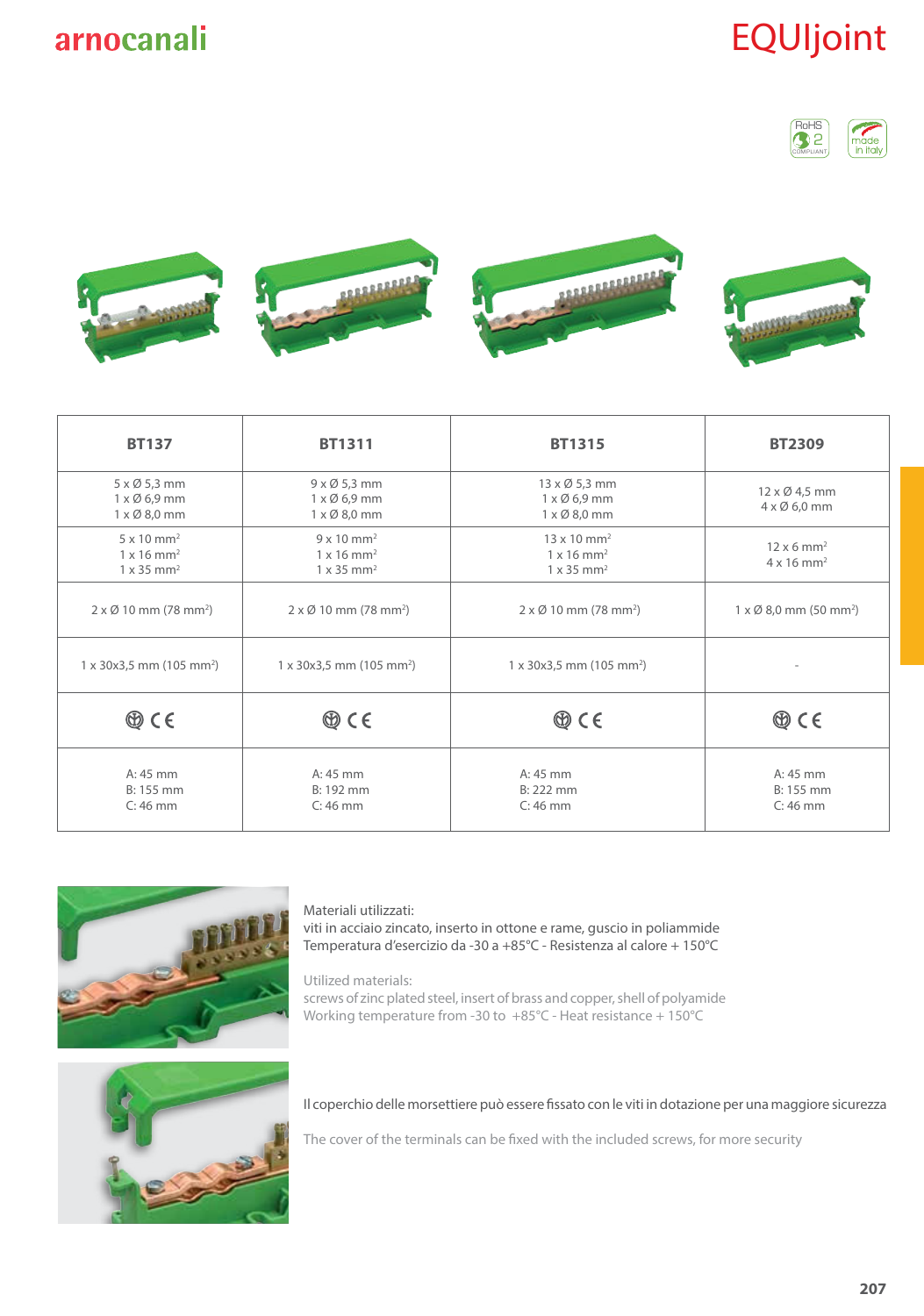## EQUIjoint





| <b>BT137</b>                                                                                    | <b>BT1311</b>                                                                                   | <b>BT1315</b>                                                                                    | <b>BT2309</b>                                                  |
|-------------------------------------------------------------------------------------------------|-------------------------------------------------------------------------------------------------|--------------------------------------------------------------------------------------------------|----------------------------------------------------------------|
| $5 \times \emptyset$ 5,3 mm<br>$1 \times \emptyset$ 6,9 mm<br>$1 \times \emptyset$ 8,0 mm       | $9 \times 05,3$ mm<br>$1 \times \emptyset$ 6,9 mm<br>$1 \times \emptyset$ 8,0 mm                | 13 x Ø 5,3 mm<br>$1 \times \emptyset$ 6,9 mm<br>$1 \times \emptyset$ 8,0 mm                      | 12 x Ø 4,5 mm<br>$4 \times \emptyset$ 6,0 mm                   |
| $5 \times 10$ mm <sup>2</sup><br>$1 \times 16$ mm <sup>2</sup><br>$1 \times 35$ mm <sup>2</sup> | $9 \times 10$ mm <sup>2</sup><br>$1 \times 16$ mm <sup>2</sup><br>$1 \times 35$ mm <sup>2</sup> | $13 \times 10$ mm <sup>2</sup><br>$1 \times 16$ mm <sup>2</sup><br>$1 \times 35$ mm <sup>2</sup> | $12 \times 6$ mm <sup>2</sup><br>$4 \times 16$ mm <sup>2</sup> |
| $2 \times \emptyset$ 10 mm (78 mm <sup>2</sup> )                                                | $2 \times \emptyset$ 10 mm (78 mm <sup>2</sup> )                                                | $2 \times \emptyset$ 10 mm (78 mm <sup>2</sup> )                                                 | $1 \times \emptyset$ 8,0 mm (50 mm <sup>2</sup> )              |
| $1 \times 30 \times 3.5$ mm (105 mm <sup>2</sup> )                                              | $1 \times 30 \times 3.5$ mm (105 mm <sup>2</sup> )                                              | $1 \times 30 \times 3.5$ mm (105 mm <sup>2</sup> )                                               |                                                                |
| $\circledcirc$ CE                                                                               | $\circledcirc$ CE                                                                               | $\circledcirc$ CE                                                                                | $\circledcirc$ C E                                             |
| $A: 45$ mm<br>$B: 155$ mm<br>$C: 46$ mm                                                         | $A:45$ mm<br>B: 192 mm<br>$C: 46$ mm                                                            | A: 45 mm<br>$B: 222$ mm<br>$C: 46$ mm                                                            | $A:45$ mm<br>$B: 155$ mm<br>$C: 46$ mm                         |



#### Materiali utilizzati:

viti in acciaio zincato, inserto in ottone e rame, guscio in poliammide Temperatura d'esercizio da -30 a +85°C - Resistenza al calore + 150°C

Utilized materials: screws of zinc plated steel, insert of brass and copper, shell of polyamide Working temperature from -30 to +85°C - Heat resistance + 150°C



Il coperchio delle morsettiere può essere fissato con le viti in dotazione per una maggiore sicurezza

The cover of the terminals can be fixed with the included screws, for more security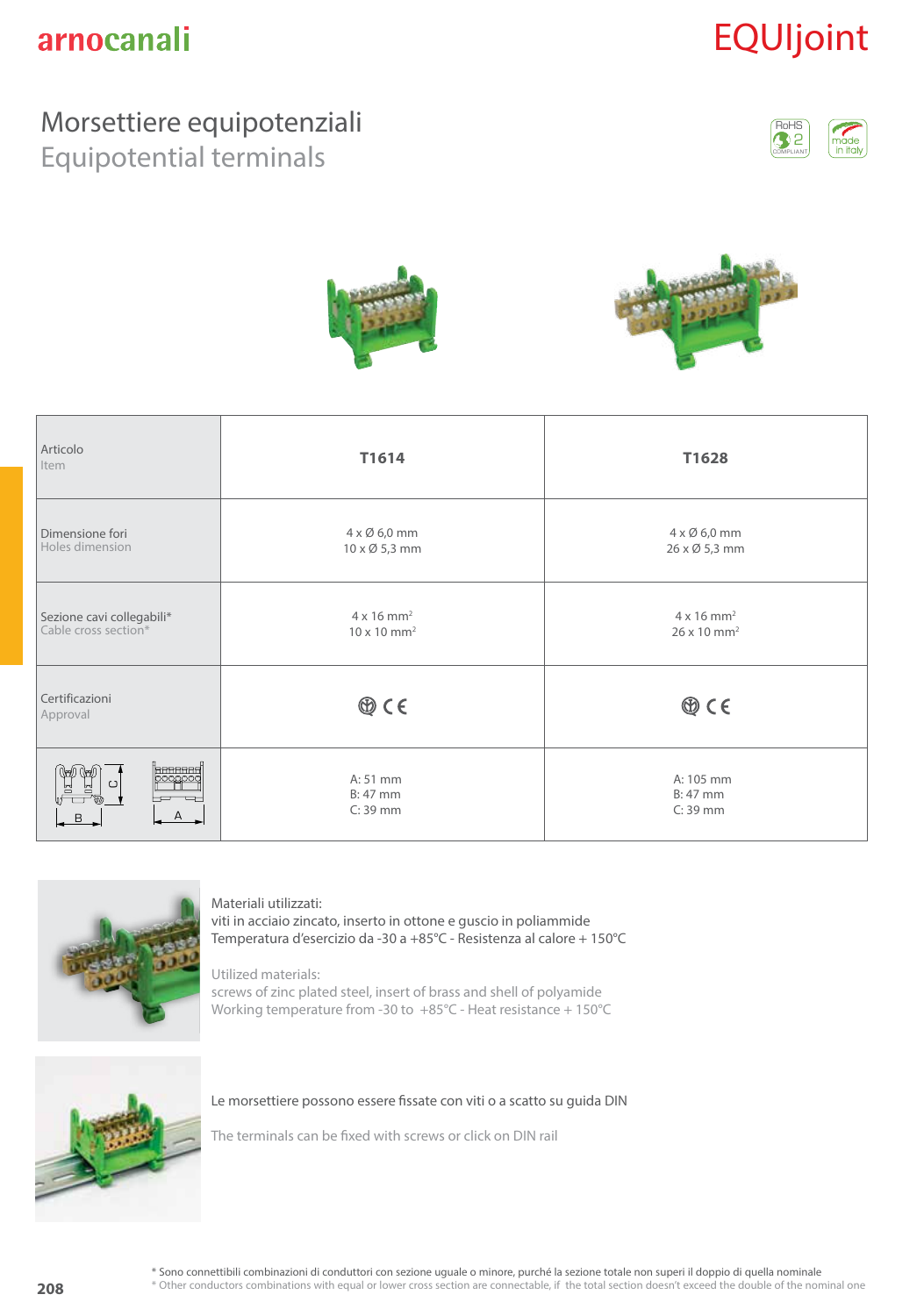# EQUIjoint

### Morsettiere equipotenziali

Equipotential terminals







| Articolo<br>Item                                       | T1614                                                           | T1628                                                           |
|--------------------------------------------------------|-----------------------------------------------------------------|-----------------------------------------------------------------|
| Dimensione fori<br>Holes dimension                     | $4 \times \emptyset$ 6,0 mm<br>$10 \times \emptyset$ 5,3 mm     | $4 \times \emptyset$ 6,0 mm<br>26 x Ø 5,3 mm                    |
| Sezione cavi collegabili*<br>Cable cross section*      | $4 \times 16$ mm <sup>2</sup><br>$10 \times 10$ mm <sup>2</sup> | $4 \times 16$ mm <sup>2</sup><br>$26 \times 10$ mm <sup>2</sup> |
| Certificazioni<br>Approval                             | $\circledcirc$ CE                                               | $\circledcirc$ CE                                               |
| <b>beeered</b><br>DOOOOO<br>$\cup$<br>뵵<br>ᆷ<br>B<br>А | A: 51 mm<br>$B: 47$ mm<br>$C: 39$ mm                            | A: 105 mm<br>B: 47 mm<br>$C: 39$ mm                             |



#### Materiali utilizzati:

viti in acciaio zincato, inserto in ottone e guscio in poliammide Temperatura d'esercizio da -30 a +85°C - Resistenza al calore + 150°C

#### Utilized materials:

screws of zinc plated steel, insert of brass and shell of polyamide Working temperature from -30 to +85°C - Heat resistance + 150°C



Le morsettiere possono essere fissate con viti o a scatto su guida DIN

The terminals can be fixed with screws or click on DIN rail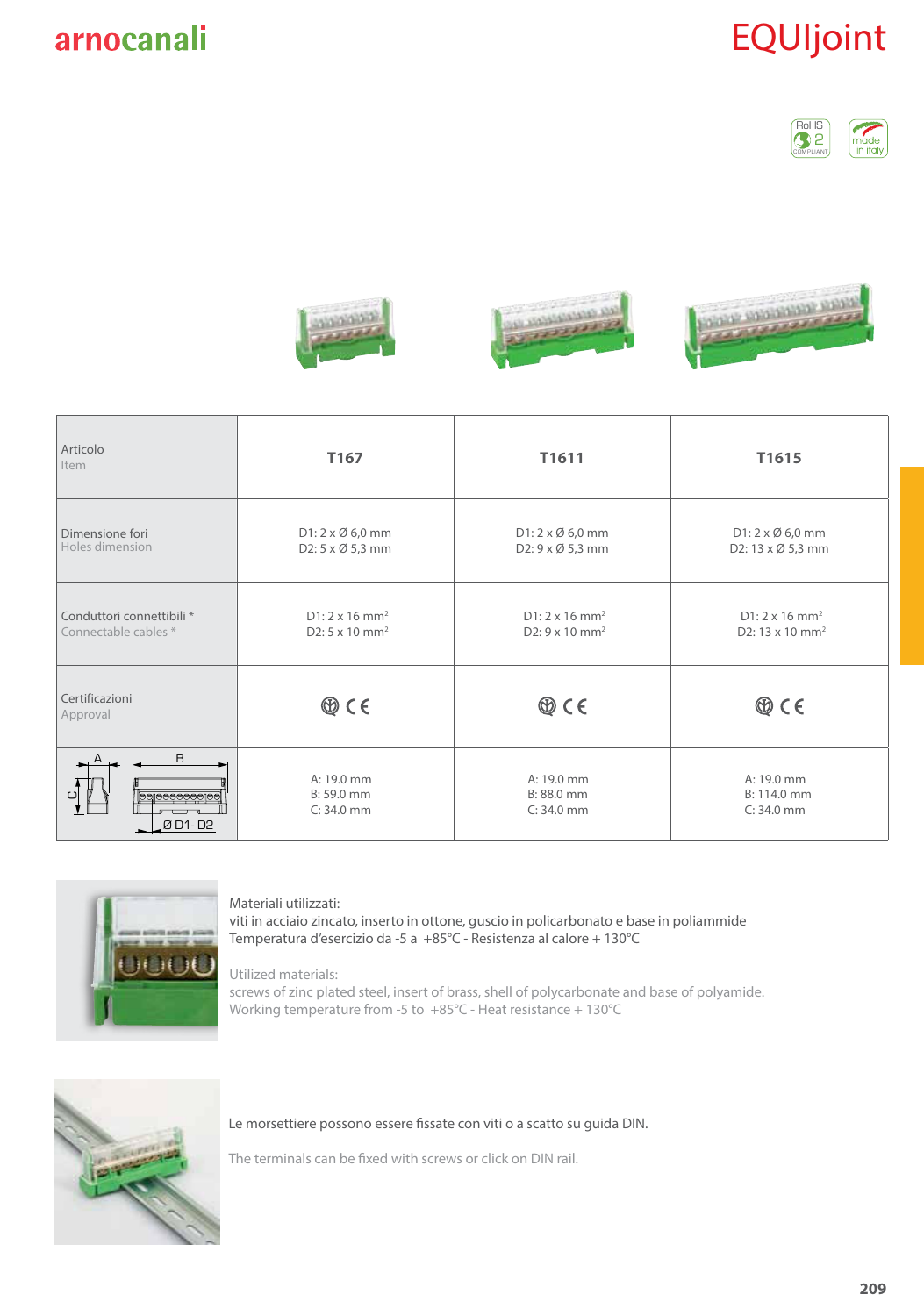

## EQUIjoint





| Articolo<br>Item                                  | T167                                                                   | T1611                                                                  | T1615                                                            |
|---------------------------------------------------|------------------------------------------------------------------------|------------------------------------------------------------------------|------------------------------------------------------------------|
| Dimensione fori<br>Holes dimension                | $D1: 2 \times \emptyset 6,0$ mm<br>D2: 5 x Ø 5,3 mm                    | $D1: 2 \times \emptyset 6,0$ mm<br>D2: 9 x Ø 5,3 mm                    | $D1: 2 \times \emptyset 6,0$ mm<br>D2: 13 x Ø 5,3 mm             |
| Conduttori connettibili *<br>Connectable cables * | $D1: 2 \times 16$ mm <sup>2</sup><br>D2: $5 \times 10$ mm <sup>2</sup> | $D1: 2 \times 16$ mm <sup>2</sup><br>D2: $9 \times 10$ mm <sup>2</sup> | $D1: 2 \times 16$ mm <sup>2</sup><br>D2: 13 x 10 mm <sup>2</sup> |
| Certificazioni<br>Approval                        | $\circledcirc$ CE                                                      | $\circledcirc$ CE                                                      | $\circledcirc$ CE                                                |
| B<br>Ø D1-D2                                      | A: 19.0 mm<br>B: 59.0 mm<br>$C: 34.0$ mm                               | A: 19.0 mm<br>B: 88.0 mm<br>$C: 34.0$ mm                               | A: 19.0 mm<br>B: 114.0 mm<br>$C: 34.0$ mm                        |



#### Materiali utilizzati:

viti in acciaio zincato, inserto in ottone, guscio in policarbonato e base in poliammide Temperatura d'esercizio da -5 a +85°C - Resistenza al calore + 130°C

#### Utilized materials:

screws of zinc plated steel, insert of brass, shell of polycarbonate and base of polyamide. Working temperature from -5 to +85°C - Heat resistance + 130°C



#### Le morsettiere possono essere fissate con viti o a scatto su guida DIN.

The terminals can be fixed with screws or click on DIN rail.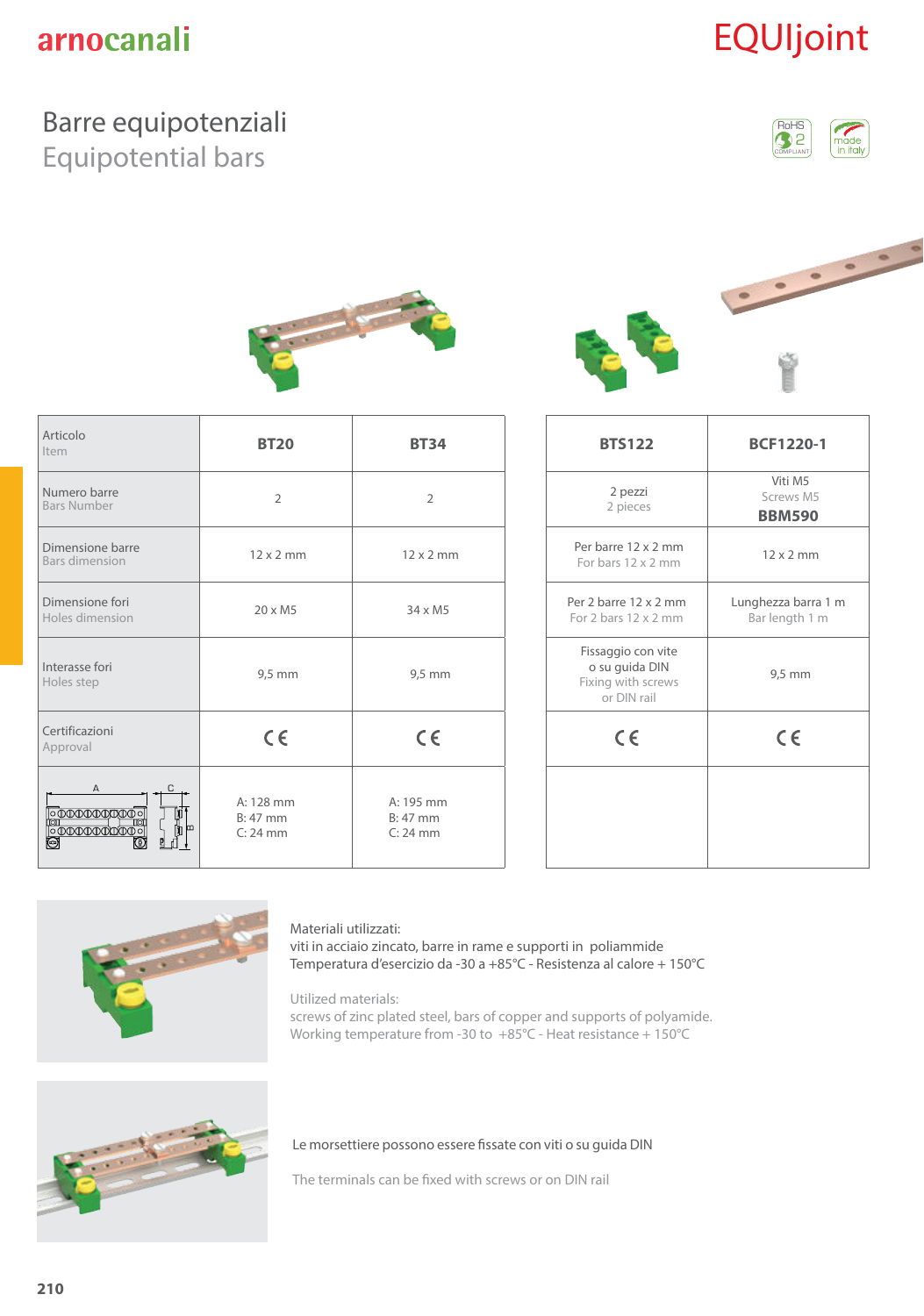# EQUIjoint

### Barre equipotenziali

Equipotential bars



<u>.....</u>



| Articolo<br>Item                                                | <b>BT20</b>                           | <b>BT34</b>                           | <b>BTS122</b>                                                             | <b>BCF1220-1</b>                      |
|-----------------------------------------------------------------|---------------------------------------|---------------------------------------|---------------------------------------------------------------------------|---------------------------------------|
| Numero barre<br><b>Bars Number</b>                              | 2                                     | $\overline{2}$                        | 2 pezzi<br>2 pieces                                                       | Viti M5<br>Screws M5<br><b>BBM590</b> |
| Dimensione barre<br><b>Bars dimension</b>                       | $12 \times 2$ mm                      | $12 \times 2$ mm                      | Per barre 12 x 2 mm<br>For bars 12 x 2 mm                                 | $12 \times 2$ mm                      |
| Dimensione fori<br>Holes dimension                              | $20 \times M5$                        | $34 \times M5$                        | Per 2 barre 12 x 2 mm<br>For 2 bars 12 x 2 mm                             | Lunghezza barra<br>Bar length 1 m     |
| Interasse fori<br>Holes step                                    | $9,5$ mm                              | 9,5 mm                                | Fissaggio con vite<br>o su guida DIN<br>Fixing with screws<br>or DIN rail | 9,5 mm                                |
| Certificazioni<br>Approval                                      | $C \in$                               | $C \in$                               | $C \in$                                                                   | $\epsilon$                            |
| $\frac{\mathbf{p}}{\mathbf{b}}$ $\frac{\mathbf{p}}{\mathbf{b}}$ | A: 128 mm<br>$B: 47$ mm<br>$C: 24$ mm | A: 195 mm<br>$B: 47$ mm<br>$C: 24$ mm |                                                                           |                                       |

| <b>BTS122</b>                                                             | <b>BCF1220-1</b>                      |
|---------------------------------------------------------------------------|---------------------------------------|
| 2 pezzi<br>2 pieces                                                       | Viti M5<br>Screws M5<br><b>BBM590</b> |
| Per barre 12 x 2 mm<br>For bars 12 x 2 mm                                 | $12 \times 2$ mm                      |
| Per 2 barre 12 x 2 mm<br>For 2 bars $12 \times 2$ mm                      | Lunghezza barra 1 m<br>Bar length 1 m |
| Fissaggio con vite<br>o su guida DIN<br>Fixing with screws<br>or DIN rail | 9,5 mm                                |
| $C \in$                                                                   | $\epsilon$                            |
|                                                                           |                                       |
|                                                                           |                                       |



#### Materiali utilizzati:

viti in acciaio zincato, barre in rame e supporti in poliammide Temperatura d'esercizio da -30 a +85°C - Resistenza al calore + 150°C

Utilized materials:

screws of zinc plated steel, bars of copper and supports of polyamide. Working temperature from -30 to +85°C - Heat resistance + 150°C



Le morsettiere possono essere fissate con viti o su guida DIN

The terminals can be fixed with screws or on DIN rail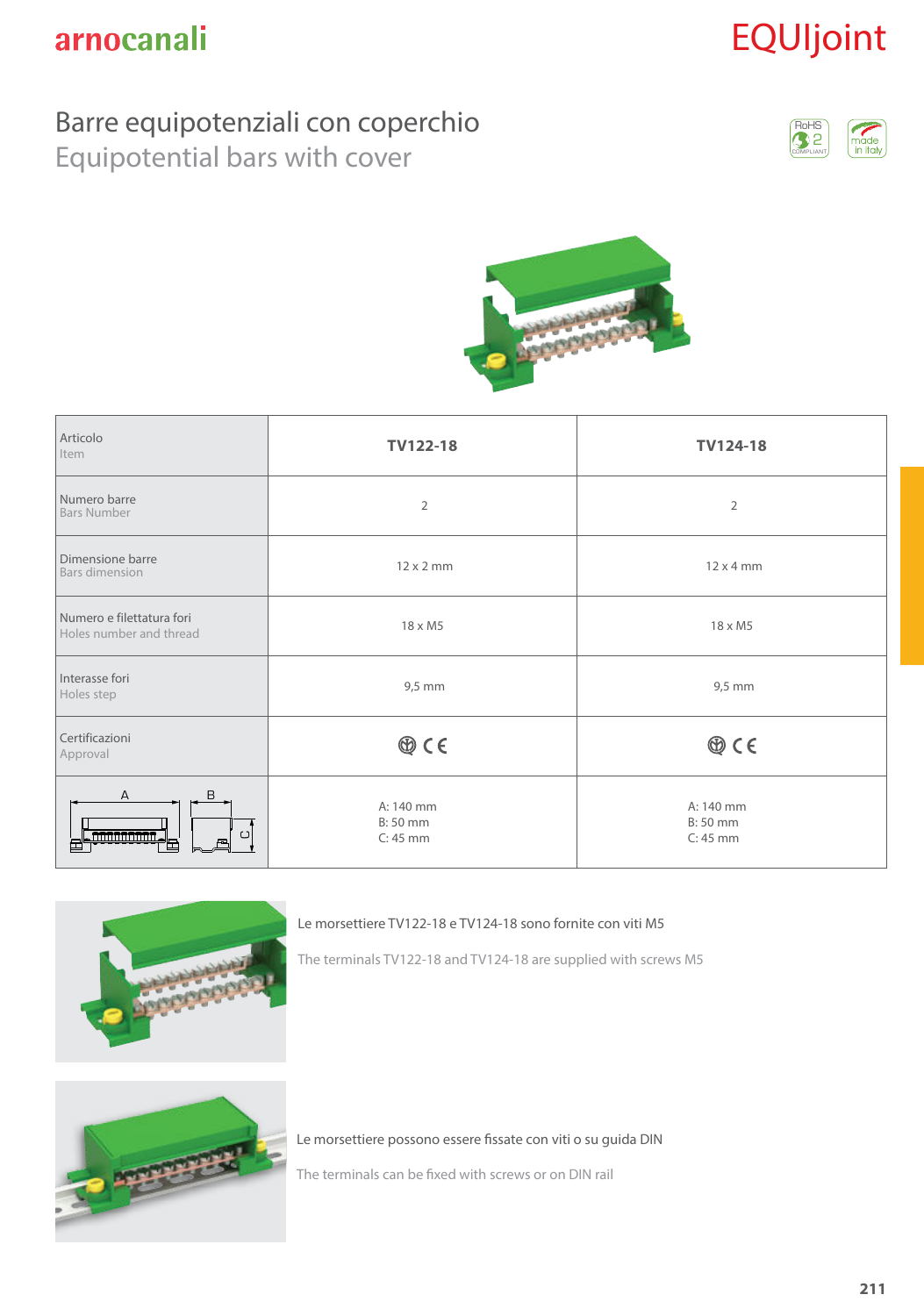# EQUIjoint

### Barre equipotenziali con coperchio

Equipotential bars with cover





| Articolo<br>Item                                         | <b>TV122-18</b>                     | TV124-18                            |
|----------------------------------------------------------|-------------------------------------|-------------------------------------|
| Numero barre<br><b>Bars Number</b>                       | $\overline{2}$                      | $\overline{2}$                      |
| Dimensione barre<br>Bars dimension                       | $12 \times 2$ mm                    | $12 \times 4$ mm                    |
| Numero e filettatura fori<br>Holes number and thread     | $18 \times M5$                      | $18 \times M5$                      |
| Interasse fori<br>Holes step                             | $9,5$ mm                            | $9,5$ mm                            |
| Certificazioni<br>Approval                               | $\circledcirc$ CE                   | $\circledcirc$ CE                   |
| $\mathsf A$<br>B<br><del>nnannann</del> .<br>C<br>P<br>⋿ | A: 140 mm<br>B: 50 mm<br>$C: 45$ mm | A: 140 mm<br>B: 50 mm<br>$C: 45$ mm |



Le morsettiere TV122-18 e TV124-18 sono fornite con viti M5

The terminals TV122-18 and TV124-18 are supplied with screws M5



Le morsettiere possono essere fissate con viti o su guida DIN

The terminals can be fixed with screws or on DIN rail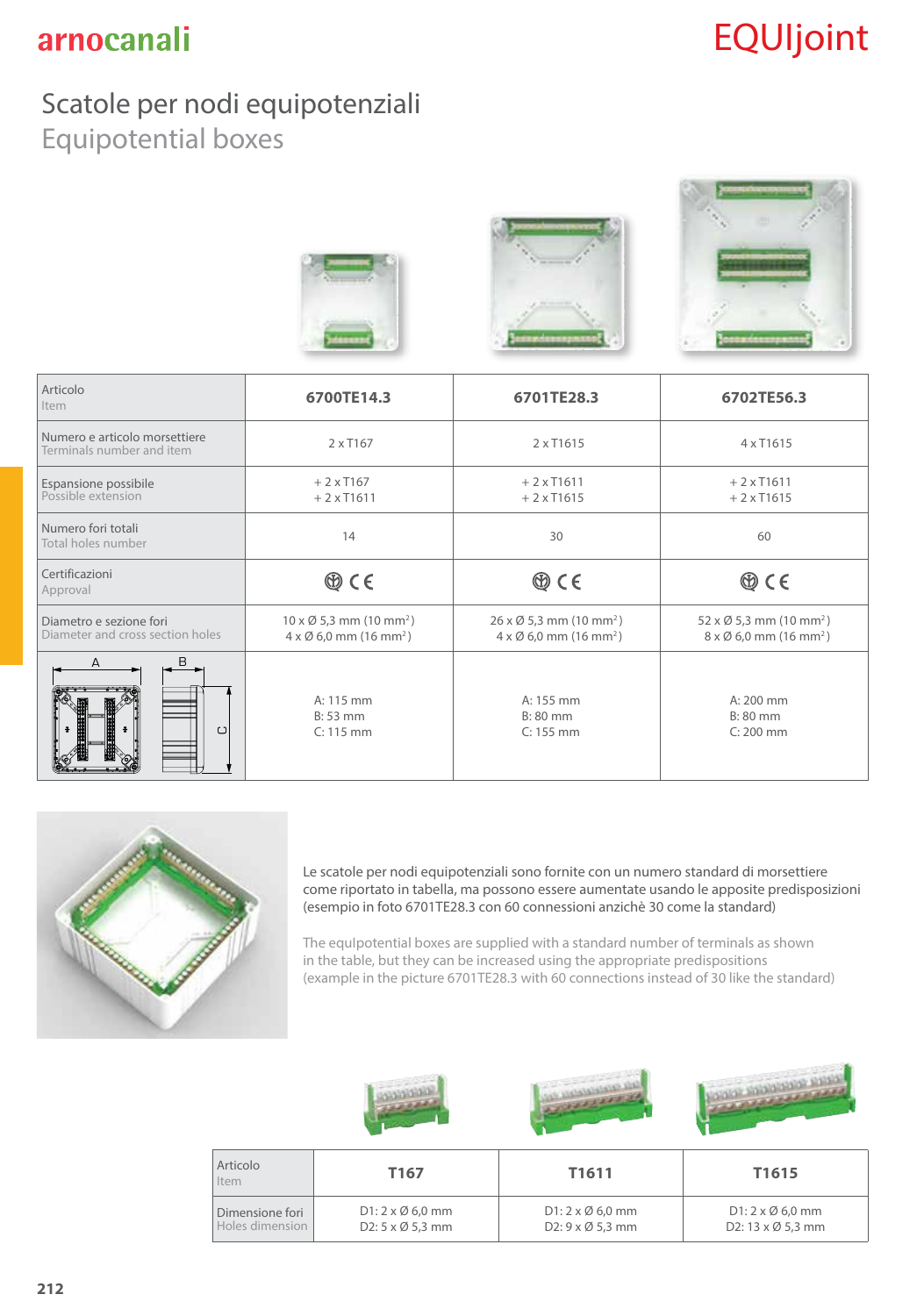# EQUIjoint

*County County* 

### Scatole per nodi equipotenziali Equipotential boxes



| Articolo<br>Item                                            | 6700TE14.3                                                                                              | 6701TE28.3                                                                                              | 6702TE56.3                                                                                              |  |
|-------------------------------------------------------------|---------------------------------------------------------------------------------------------------------|---------------------------------------------------------------------------------------------------------|---------------------------------------------------------------------------------------------------------|--|
| Numero e articolo morsettiere<br>Terminals number and item  | 2 x T167                                                                                                | 2 x T1615                                                                                               | 4 x T1615                                                                                               |  |
| Espansione possibile<br>Possible extension                  | $+2xT167$<br>$+2xT1611$                                                                                 | $+2x$ T1611<br>$+2xT1615$                                                                               | $+2 \times$ T1611<br>$+2 \times$ T1615                                                                  |  |
| Numero fori totali<br>Total holes number                    | 14                                                                                                      | 30                                                                                                      | 60                                                                                                      |  |
| Certificazioni<br>Approval                                  | $\circledcirc$ C E                                                                                      | $\circledcirc$ CE                                                                                       | $\circledcirc$ C E                                                                                      |  |
| Diametro e sezione fori<br>Diameter and cross section holes | $10 \times \emptyset$ 5,3 mm (10 mm <sup>2</sup> )<br>$4 \times \emptyset$ 6,0 mm (16 mm <sup>2</sup> ) | $26 \times \emptyset$ 5,3 mm (10 mm <sup>2</sup> )<br>$4 \times \emptyset$ 6,0 mm (16 mm <sup>2</sup> ) | $52 \times \emptyset$ 5,3 mm (10 mm <sup>2</sup> )<br>$8 \times \emptyset$ 6,0 mm (16 mm <sup>2</sup> ) |  |
| R<br>$\cup$                                                 | A: 115 mm<br>$B: 53$ mm<br>$C: 115$ mm                                                                  | A: 155 mm<br>B: 80 mm<br>$C: 155$ mm                                                                    | $A: 200$ mm<br>$B: 80$ mm<br>$C: 200$ mm                                                                |  |



Le scatole per nodi equipotenziali sono fornite con un numero standard di morsettiere come riportato in tabella, ma possono essere aumentate usando le apposite predisposizioni (esempio in foto 6701TE28.3 con 60 connessioni anzichè 30 come la standard)

 $\sim$   $\sim$   $\sim$   $\sim$   $\sim$ 

The equIpotential boxes are supplied with a standard number of terminals as shown in the table, but they can be increased using the appropriate predispositions (example in the picture 6701TE28.3 with 60 connections instead of 30 like the standard)

| Articolo<br>Item                   | T <sub>167</sub>                                                   | T1611                                               | T1615                                                               |
|------------------------------------|--------------------------------------------------------------------|-----------------------------------------------------|---------------------------------------------------------------------|
| Dimensione fori<br>Holes dimension | $D1: 2 \times \emptyset 6.0$ mm<br>D2: $5 \times \emptyset$ 5,3 mm | $D1: 2 \times \emptyset 6,0$ mm<br>D2: 9 x Ø 5,3 mm | $D1: 2 \times \emptyset 6.0$ mm<br>D2: $13 \times \emptyset$ 5,3 mm |